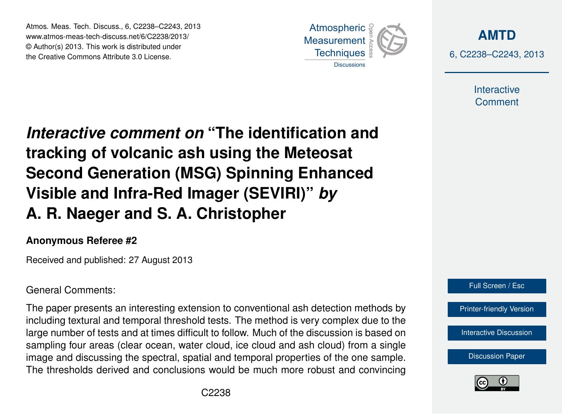Atmos. Meas. Tech. Discuss., 6, C2238–C2243, 2013 www.atmos-meas-tech-discuss.net/6/C2238/2013/ www.atmos-meas-tech-discuss.net/o/Ozz3o/z013/<br>© Author(s) 2013. This work is distributed under the Creative Commons Attribute 3.0 License.



**[AMTD](http://www.atmos-meas-tech-discuss.net)** 6, C2238–C2243, 2013

> Interactive **Comment**

Interactive comment on "The identification and of the Indian of the Past of the Past of the Past of the Past of the Past of the Past of the Past of the Past o Open Access  $\overline{\phantom{a}}$ tracking of volcanic ash using the Meteosat  $\overline{E}$  Deal line Visible and Infra-Red Imager (SEVIRI)" *by* Open Access  $\overline{a}$ **Second Generation (MSG) Spinning Enhanced A. R. Naeger and S. A. Christopher**

#### **Anonymous Referee #2**

Received and published: 27 August 2013

### General Comments:

The paper presents an interesting extension to conventional ash detection methods by .<br>Die .<br>U large number of tests and at times difficult to follow. Much of the discussion is based on sampling four areas (clear ocean, water cloud, ice cloud and ash cloud) from a single image and discussing the spectral, spatial and temporal properties of the one sample. t<br>al oa<br>a<br>s The thresholds derived and conclusions would be much more robust and convincing including textural and temporal threshold tests. The method is very complex due to the



[Interactive Discussion](http://www.atmos-meas-tech-discuss.net/6/5577/2013/amtd-6-5577-2013-discussion.html)

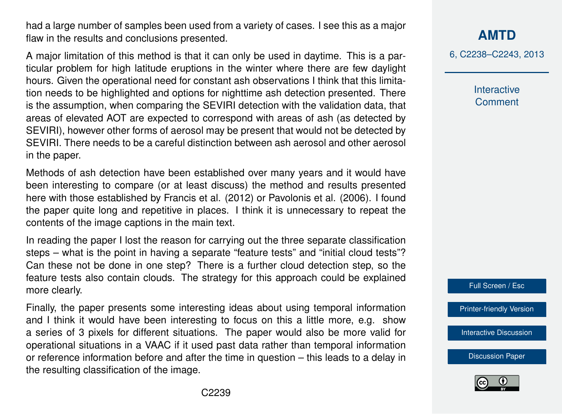had a large number of samples been used from a variety of cases. I see this as a major flaw in the results and conclusions presented.

A major limitation of this method is that it can only be used in daytime. This is a particular problem for high latitude eruptions in the winter where there are few daylight hours. Given the operational need for constant ash observations I think that this limitation needs to be highlighted and options for nighttime ash detection presented. There is the assumption, when comparing the SEVIRI detection with the validation data, that areas of elevated AOT are expected to correspond with areas of ash (as detected by SEVIRI), however other forms of aerosol may be present that would not be detected by SEVIRI. There needs to be a careful distinction between ash aerosol and other aerosol in the paper.

Methods of ash detection have been established over many years and it would have been interesting to compare (or at least discuss) the method and results presented here with those established by Francis et al. (2012) or Pavolonis et al. (2006). I found the paper quite long and repetitive in places. I think it is unnecessary to repeat the contents of the image captions in the main text.

In reading the paper I lost the reason for carrying out the three separate classification steps – what is the point in having a separate "feature tests" and "initial cloud tests"? Can these not be done in one step? There is a further cloud detection step, so the feature tests also contain clouds. The strategy for this approach could be explained more clearly.

Finally, the paper presents some interesting ideas about using temporal information and I think it would have been interesting to focus on this a little more, e.g. show a series of 3 pixels for different situations. The paper would also be more valid for operational situations in a VAAC if it used past data rather than temporal information or reference information before and after the time in question – this leads to a delay in the resulting classification of the image.

# **[AMTD](http://www.atmos-meas-tech-discuss.net)**

6, C2238–C2243, 2013

Interactive **Comment** 



[Printer-friendly Version](http://www.atmos-meas-tech-discuss.net/6/C2238/2013/amtd-6-C2238-2013-print.pdf)

[Interactive Discussion](http://www.atmos-meas-tech-discuss.net/6/5577/2013/amtd-6-5577-2013-discussion.html)

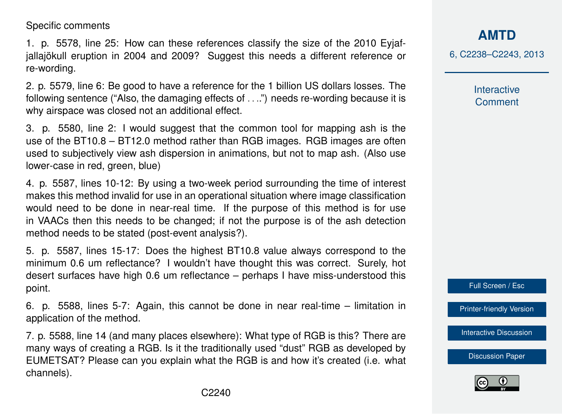Specific comments

1. p. 5578, line 25: How can these references classify the size of the 2010 Eyjafjallajökull eruption in 2004 and 2009? Suggest this needs a different reference or re-wording.

2. p. 5579, line 6: Be good to have a reference for the 1 billion US dollars losses. The following sentence ("Also, the damaging effects of . . ..") needs re-wording because it is why airspace was closed not an additional effect.

3. p. 5580, line 2: I would suggest that the common tool for mapping ash is the use of the BT10.8 – BT12.0 method rather than RGB images. RGB images are often used to subjectively view ash dispersion in animations, but not to map ash. (Also use lower-case in red, green, blue)

4. p. 5587, lines 10-12: By using a two-week period surrounding the time of interest makes this method invalid for use in an operational situation where image classification would need to be done in near-real time. If the purpose of this method is for use in VAACs then this needs to be changed; if not the purpose is of the ash detection method needs to be stated (post-event analysis?).

5. p. 5587, lines 15-17: Does the highest BT10.8 value always correspond to the minimum 0.6 um reflectance? I wouldn't have thought this was correct. Surely, hot desert surfaces have high 0.6 um reflectance – perhaps I have miss-understood this point.

6. p. 5588, lines 5-7: Again, this cannot be done in near real-time – limitation in application of the method.

7. p. 5588, line 14 (and many places elsewhere): What type of RGB is this? There are many ways of creating a RGB. Is it the traditionally used "dust" RGB as developed by EUMETSAT? Please can you explain what the RGB is and how it's created (i.e. what channels).

**[AMTD](http://www.atmos-meas-tech-discuss.net)**

6, C2238–C2243, 2013

Interactive **Comment** 

Full Screen / Esc

[Printer-friendly Version](http://www.atmos-meas-tech-discuss.net/6/C2238/2013/amtd-6-C2238-2013-print.pdf)

[Interactive Discussion](http://www.atmos-meas-tech-discuss.net/6/5577/2013/amtd-6-5577-2013-discussion.html)

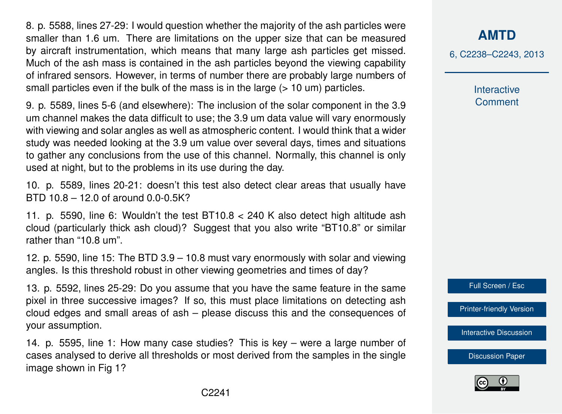8. p. 5588, lines 27-29: I would question whether the majority of the ash particles were smaller than 1.6 um. There are limitations on the upper size that can be measured by aircraft instrumentation, which means that many large ash particles get missed. Much of the ash mass is contained in the ash particles beyond the viewing capability of infrared sensors. However, in terms of number there are probably large numbers of small particles even if the bulk of the mass is in the large  $($  > 10 um) particles.

9. p. 5589, lines 5-6 (and elsewhere): The inclusion of the solar component in the 3.9 um channel makes the data difficult to use; the 3.9 um data value will vary enormously with viewing and solar angles as well as atmospheric content. I would think that a wider study was needed looking at the 3.9 um value over several days, times and situations to gather any conclusions from the use of this channel. Normally, this channel is only used at night, but to the problems in its use during the day.

10. p. 5589, lines 20-21: doesn't this test also detect clear areas that usually have BTD 10.8 – 12.0 of around 0.0-0.5K?

11. p. 5590, line 6: Wouldn't the test BT10.8 < 240 K also detect high altitude ash cloud (particularly thick ash cloud)? Suggest that you also write "BT10.8" or similar rather than "10.8 um".

12. p. 5590, line 15: The BTD 3.9 – 10.8 must vary enormously with solar and viewing angles. Is this threshold robust in other viewing geometries and times of day?

13. p. 5592, lines 25-29: Do you assume that you have the same feature in the same pixel in three successive images? If so, this must place limitations on detecting ash cloud edges and small areas of ash – please discuss this and the consequences of your assumption.

14. p. 5595, line 1: How many case studies? This is key – were a large number of cases analysed to derive all thresholds or most derived from the samples in the single image shown in Fig 1?

## **[AMTD](http://www.atmos-meas-tech-discuss.net)**

6, C2238–C2243, 2013

Interactive **Comment** 



[Printer-friendly Version](http://www.atmos-meas-tech-discuss.net/6/C2238/2013/amtd-6-C2238-2013-print.pdf)

[Interactive Discussion](http://www.atmos-meas-tech-discuss.net/6/5577/2013/amtd-6-5577-2013-discussion.html)

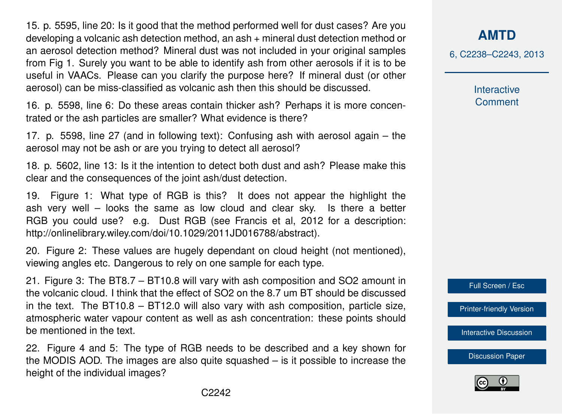15. p. 5595, line 20: Is it good that the method performed well for dust cases? Are you developing a volcanic ash detection method, an ash + mineral dust detection method or an aerosol detection method? Mineral dust was not included in your original samples from Fig 1. Surely you want to be able to identify ash from other aerosols if it is to be useful in VAACs. Please can you clarify the purpose here? If mineral dust (or other aerosol) can be miss-classified as volcanic ash then this should be discussed.

16. p. 5598, line 6: Do these areas contain thicker ash? Perhaps it is more concentrated or the ash particles are smaller? What evidence is there?

17. p. 5598, line 27 (and in following text): Confusing ash with aerosol again – the aerosol may not be ash or are you trying to detect all aerosol?

18. p. 5602, line 13: Is it the intention to detect both dust and ash? Please make this clear and the consequences of the joint ash/dust detection.

19. Figure 1: What type of RGB is this? It does not appear the highlight the ash very well – looks the same as low cloud and clear sky. Is there a better RGB you could use? e.g. Dust RGB (see Francis et al, 2012 for a description: http://onlinelibrary.wiley.com/doi/10.1029/2011JD016788/abstract).

20. Figure 2: These values are hugely dependant on cloud height (not mentioned), viewing angles etc. Dangerous to rely on one sample for each type.

21. Figure 3: The BT8.7 – BT10.8 will vary with ash composition and SO2 amount in the volcanic cloud. I think that the effect of SO2 on the 8.7 um BT should be discussed in the text. The BT10.8 – BT12.0 will also vary with ash composition, particle size, atmospheric water vapour content as well as ash concentration: these points should be mentioned in the text.

22. Figure 4 and 5: The type of RGB needs to be described and a key shown for the MODIS AOD. The images are also quite squashed – is it possible to increase the height of the individual images?

**[AMTD](http://www.atmos-meas-tech-discuss.net)**

6, C2238–C2243, 2013

Interactive **Comment** 



[Printer-friendly Version](http://www.atmos-meas-tech-discuss.net/6/C2238/2013/amtd-6-C2238-2013-print.pdf)

[Interactive Discussion](http://www.atmos-meas-tech-discuss.net/6/5577/2013/amtd-6-5577-2013-discussion.html)